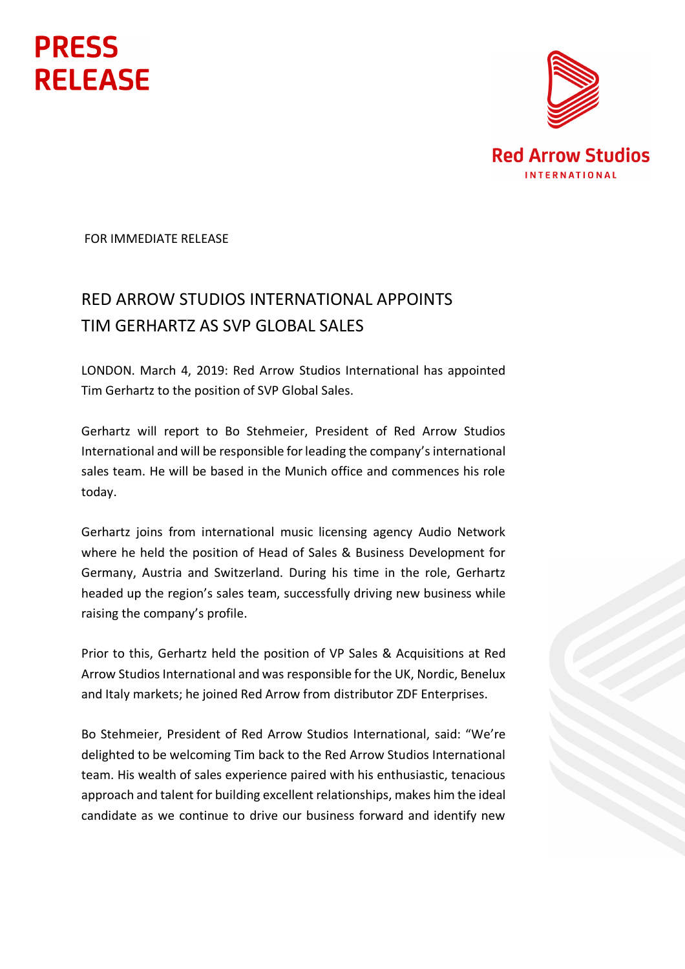## **PRESS RELEASE**



FOR IMMEDIATE RELEASE

## RED ARROW STUDIOS INTERNATIONAL APPOINTS TIM GERHARTZ AS SVP GLOBAL SALES

LONDON. March 4, 2019: Red Arrow Studios International has appointed Tim Gerhartz to the position of SVP Global Sales.

Gerhartz will report to Bo Stehmeier, President of Red Arrow Studios International and will be responsible for leading the company'sinternational sales team. He will be based in the Munich office and commences his role today.

Gerhartz joins from international music licensing agency Audio Network where he held the position of Head of Sales & Business Development for Germany, Austria and Switzerland. During his time in the role, Gerhartz headed up the region's sales team, successfully driving new business while raising the company's profile.

Prior to this, Gerhartz held the position of VP Sales & Acquisitions at Red Arrow Studios International and was responsible for the UK, Nordic, Benelux and Italy markets; he joined Red Arrow from distributor ZDF Enterprises.

Bo Stehmeier, President of Red Arrow Studios International, said: "We're delighted to be welcoming Tim back to the Red Arrow Studios International team. His wealth of sales experience paired with his enthusiastic, tenacious approach and talent for building excellent relationships, makes him the ideal candidate as we continue to drive our business forward and identify new